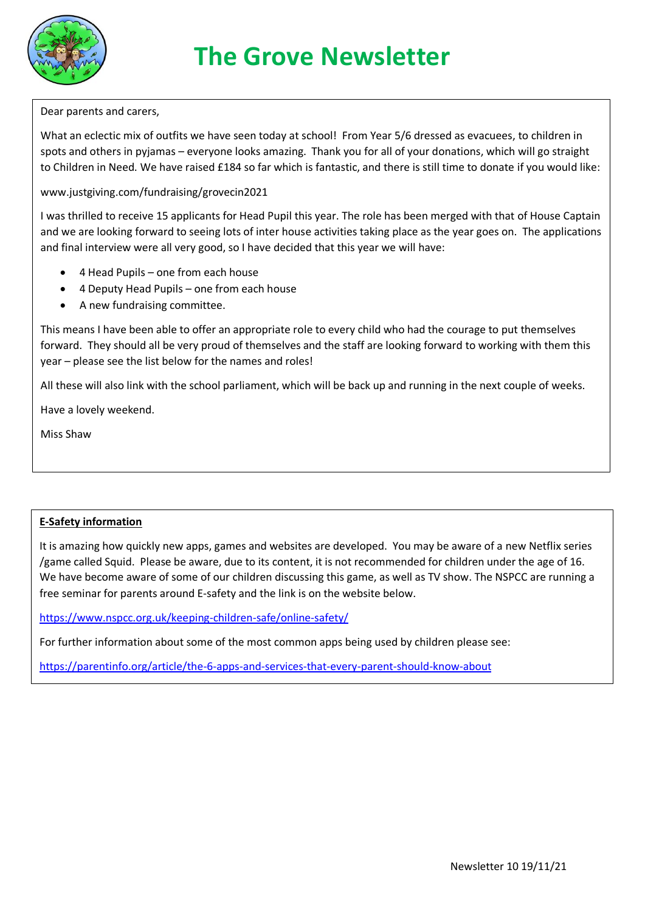

# **The Grove Newsletter**

Dear parents and carers,

What an eclectic mix of outfits we have seen today at school! From Year 5/6 dressed as evacuees, to children in spots and others in pyjamas – everyone looks amazing. Thank you for all of your donations, which will go straight to Children in Need. We have raised £184 so far which is fantastic, and there is still time to donate if you would like:

www.justgiving.com/fundraising/grovecin2021

I was thrilled to receive 15 applicants for Head Pupil this year. The role has been merged with that of House Captain and we are looking forward to seeing lots of inter house activities taking place as the year goes on. The applications and final interview were all very good, so I have decided that this year we will have:

- 4 Head Pupils one from each house
- 4 Deputy Head Pupils one from each house
- A new fundraising committee.

This means I have been able to offer an appropriate role to every child who had the courage to put themselves forward. They should all be very proud of themselves and the staff are looking forward to working with them this year – please see the list below for the names and roles!

All these will also link with the school parliament, which will be back up and running in the next couple of weeks.

Have a lovely weekend.

Miss Shaw

## **E-Safety information**

It is amazing how quickly new apps, games and websites are developed. You may be aware of a new Netflix series /game called Squid. Please be aware, due to its content, it is not recommended for children under the age of 16. We have become aware of some of our children discussing this game, as well as TV show. The NSPCC are running a free seminar for parents around E-safety and the link is on the website below.

<https://www.nspcc.org.uk/keeping-children-safe/online-safety/>

For further information about some of the most common apps being used by children please see:

<https://parentinfo.org/article/the-6-apps-and-services-that-every-parent-should-know-about>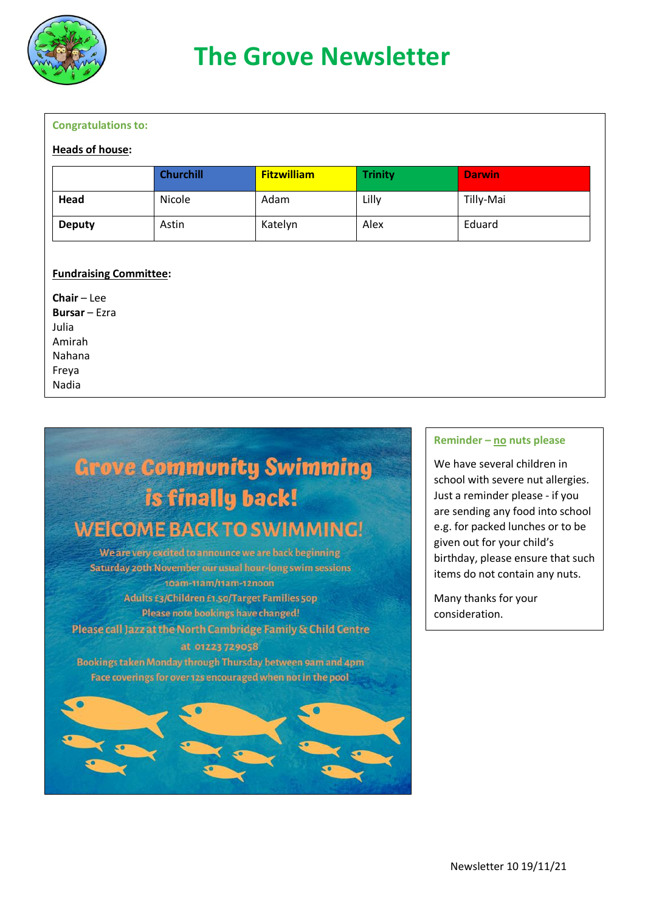

## **Congratulations to:**

#### **Heads of house:**

|               | <b>Churchill</b> | <b>Fitzwilliam</b> | <b>Trinity</b> | <b>Darwin</b> |
|---------------|------------------|--------------------|----------------|---------------|
| Head          | Nicole           | Adam               | Lilly          | Tilly-Mai     |
| <b>Deputy</b> | Astin            | Katelyn            | Alex           | Eduard        |

## **Fundraising Committee:**

**Chair** – Lee **Bursar** – Ezra Julia Amirah Nahana Freya Nadia



### **Reminder – no nuts please**

We have several children in school with severe nut allergies. Just a reminder please - if you are sending any food into school e.g. for packed lunches or to be given out for your child's birthday, please ensure that such items do not contain any nuts.

Many thanks for your consideration.